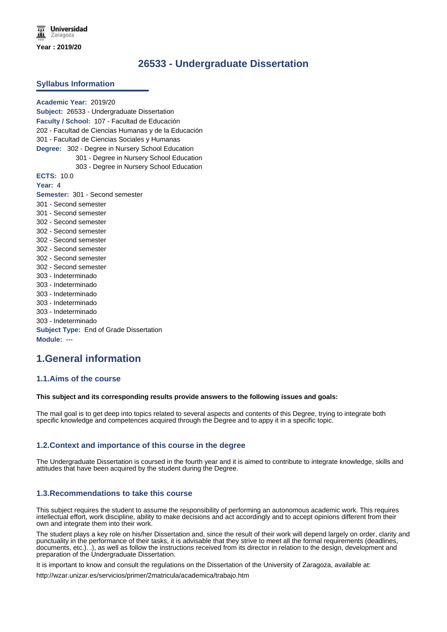# **26533 - Undergraduate Dissertation**

### **Syllabus Information**

**Academic Year:** 2019/20 **Subject:** 26533 - Undergraduate Dissertation **Faculty / School:** 107 - Facultad de Educación 202 - Facultad de Ciencias Humanas y de la Educación 301 - Facultad de Ciencias Sociales y Humanas **Degree:** 302 - Degree in Nursery School Education 301 - Degree in Nursery School Education 303 - Degree in Nursery School Education **ECTS:** 10.0 **Year:** 4 **Semester:** 301 - Second semester 301 - Second semester 301 - Second semester 302 - Second semester 302 - Second semester 302 - Second semester 302 - Second semester 302 - Second semester 302 - Second semester 303 - Indeterminado 303 - Indeterminado 303 - Indeterminado 303 - Indeterminado 303 - Indeterminado 303 - Indeterminado **Subject Type:** End of Grade Dissertation **Module:** ---

# **1.General information**

### **1.1.Aims of the course**

#### **This subject and its corresponding results provide answers to the following issues and goals:**

The mail goal is to get deep into topics related to several aspects and contents of this Degree, trying to integrate both specific knowledge and competences acquired through the Degree and to appy it in a specific topic.

### **1.2.Context and importance of this course in the degree**

The Undergraduate Dissertation is coursed in the fourth year and it is aimed to contribute to integrate knowledge, skills and attitudes that have been acquired by the student during the Degree.

### **1.3.Recommendations to take this course**

This subject requires the student to assume the responsibility of performing an autonomous academic work. This requires intellectual effort, work discipline, ability to make decisions and act accordingly and to accept opinions different from their own and integrate them into their work.

The student plays a key role on his/her Dissertation and, since the result of their work will depend largely on order, clarity and punctuality in the performance of their tasks, it is advisable that they strive to meet all the formal requirements (deadlines, documents, etc.). .), as well as follow the instructions received from its director in relation to the design, development and preparation of the Undergraduate Dissertation.

It is important to know and consult the regulations on the Dissertation of the University of Zaragoza, available at:

http://wzar.unizar.es/servicios/primer/2matricula/academica/trabajo.htm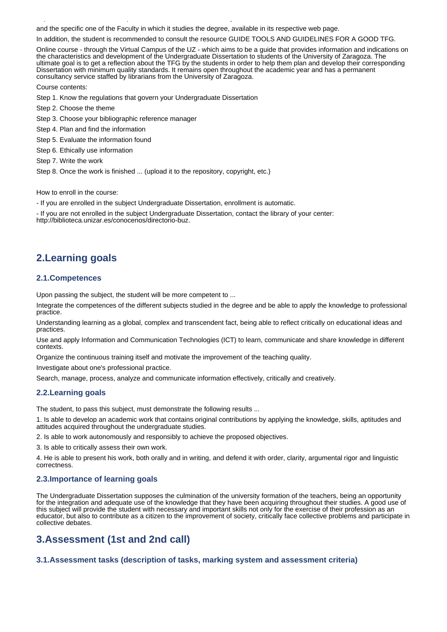and the specific one of the Faculty in which it studies the degree, available in its respective web page.

In addition, the student is recommended to consult the resource GUIDE TOOLS AND GUIDELINES FOR A GOOD TFG.

Online course - through the Virtual Campus of the UZ - which aims to be a guide that provides information and indications on the characteristics and development of the Undergraduate Dissertation to students of the University of Zaragoza. The ultimate goal is to get a reflection about the TFG by the students in order to help them plan and develop their corresponding Dissertation with minimum quality standards. It remains open throughout the academic year and has a permanent consultancy service staffed by librarians from the University of Zaragoza.

Course contents:

Step 1. Know the regulations that govern your Undergraduate Dissertation

http://wzar.unizar.es/servicios/primer/2matricula/academica/trabajo.htm

- Step 2. Choose the theme
- Step 3. Choose your bibliographic reference manager
- Step 4. Plan and find the information
- Step 5. Evaluate the information found
- Step 6. Ethically use information
- Step 7. Write the work

Step 8. Once the work is finished ... (upload it to the repository, copyright, etc.)

How to enroll in the course:

- If you are enrolled in the subject Undergraduate Dissertation, enrollment is automatic.

- If you are not enrolled in the subject Undergraduate Dissertation, contact the library of your center:

http://biblioteca.unizar.es/conocenos/directorio-buz.

# **2.Learning goals**

### **2.1.Competences**

Upon passing the subject, the student will be more competent to ...

Integrate the competences of the different subjects studied in the degree and be able to apply the knowledge to professional practice.

Understanding learning as a global, complex and transcendent fact, being able to reflect critically on educational ideas and practices.

Use and apply Information and Communication Technologies (ICT) to learn, communicate and share knowledge in different contexts.

Organize the continuous training itself and motivate the improvement of the teaching quality.

Investigate about one's professional practice.

Search, manage, process, analyze and communicate information effectively, critically and creatively.

#### **2.2.Learning goals**

The student, to pass this subject, must demonstrate the following results ...

1. Is able to develop an academic work that contains original contributions by applying the knowledge, skills, aptitudes and attitudes acquired throughout the undergraduate studies.

2. Is able to work autonomously and responsibly to achieve the proposed objectives.

3. Is able to critically assess their own work.

4. He is able to present his work, both orally and in writing, and defend it with order, clarity, argumental rigor and linguistic correctness.

### **2.3.Importance of learning goals**

The Undergraduate Dissertation supposes the culmination of the university formation of the teachers, being an opportunity for the integration and adequate use of the knowledge that they have been acquiring throughout their studies. A good use of this subject will provide the student with necessary and important skills not only for the exercise of their profession as an educator, but also to contribute as a citizen to the improvement of society, critically face collective problems and participate in collective debates.

# **3.Assessment (1st and 2nd call)**

### **3.1.Assessment tasks (description of tasks, marking system and assessment criteria)**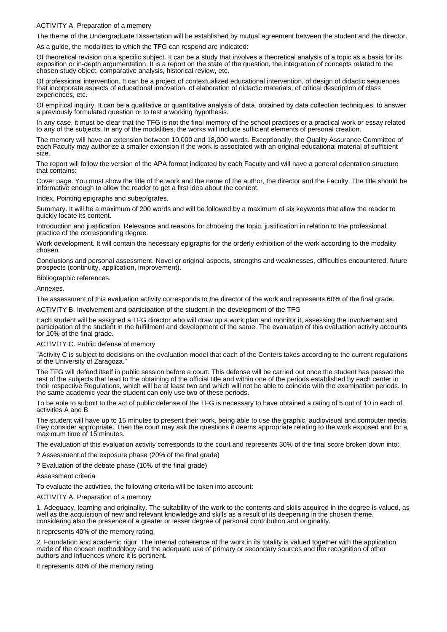### ACTIVITY A. Preparation of a memory

The theme of the Undergraduate Dissertation will be established by mutual agreement between the student and the director.

As a guide, the modalities to which the TFG can respond are indicated:

Of theoretical revision on a specific subject. It can be a study that involves a theoretical analysis of a topic as a basis for its exposition or in-depth argumentation. It is a report on the state of the question, the integration of concepts related to the chosen study object, comparative analysis, historical review, etc.

Of professional intervention. It can be a project of contextualized educational intervention, of design of didactic sequences that incorporate aspects of educational innovation, of elaboration of didactic materials, of critical description of class experiences, etc.

Of empirical inquiry. It can be a qualitative or quantitative analysis of data, obtained by data collection techniques, to answer a previously formulated question or to test a working hypothesis.

In any case, it must be clear that the TFG is not the final memory of the school practices or a practical work or essay related to any of the subjects. In any of the modalities, the works will include sufficient elements of personal creation.

The memory will have an extension between 10,000 and 18,000 words. Exceptionally, the Quality Assurance Committee of each Faculty may authorize a smaller extension if the work is associated with an original educational material of sufficient size.

The report will follow the version of the APA format indicated by each Faculty and will have a general orientation structure that contains:

Cover page. You must show the title of the work and the name of the author, the director and the Faculty. The title should be informative enough to allow the reader to get a first idea about the content.

Index. Pointing epigraphs and subepígrafes.

Summary. It will be a maximum of 200 words and will be followed by a maximum of six keywords that allow the reader to quickly locate its content.

Introduction and justification. Relevance and reasons for choosing the topic, justification in relation to the professional practice of the corresponding degree.

Work development. It will contain the necessary epigraphs for the orderly exhibition of the work according to the modality chosen.

Conclusions and personal assessment. Novel or original aspects, strengths and weaknesses, difficulties encountered, future prospects (continuity, application, improvement).

Bibliographic references.

Annexes.

The assessment of this evaluation activity corresponds to the director of the work and represents 60% of the final grade.

ACTIVITY B. Involvement and participation of the student in the development of the TFG

Each student will be assigned a TFG director who will draw up a work plan and monitor it, assessing the involvement and participation of the student in the fulfillment and development of the same. The evaluation of this evaluation activity accounts for 10% of the final grade.

#### ACTIVITY C. Public defense of memory

"Activity C is subject to decisions on the evaluation model that each of the Centers takes according to the current regulations of the University of Zaragoza.

The TFG will defend itself in public session before a court. This defense will be carried out once the student has passed the rest of the subjects that lead to the obtaining of the official title and within one of the periods established by each center in their respective Regulations, which will be at least two and which will not be able to coincide with the examination periods. In the same academic year the student can only use two of these periods.

To be able to submit to the act of public defense of the TFG is necessary to have obtained a rating of 5 out of 10 in each of activities A and B.

The student will have up to 15 minutes to present their work, being able to use the graphic, audiovisual and computer media they consider appropriate. Then the court may ask the questions it deems appropriate relating to the work exposed and for a maximum time of 15 minutes.

The evaluation of this evaluation activity corresponds to the court and represents 30% of the final score broken down into:

? Assessment of the exposure phase (20% of the final grade)

? Evaluation of the debate phase (10% of the final grade)

Assessment criteria

To evaluate the activities, the following criteria will be taken into account:

ACTIVITY A. Preparation of a memory

1. Adequacy, learning and originality. The suitability of the work to the contents and skills acquired in the degree is valued, as well as the acquisition of new and relevant knowledge and skills as a result of its deepening in the chosen theme, considering also the presence of a greater or lesser degree of personal contribution and originality.

It represents 40% of the memory rating.

2. Foundation and academic rigor. The internal coherence of the work in its totality is valued together with the application made of the chosen methodology and the adequate use of primary or secondary sources and the recognition of other authors and influences where it is pertinent.

It represents 40% of the memory rating.